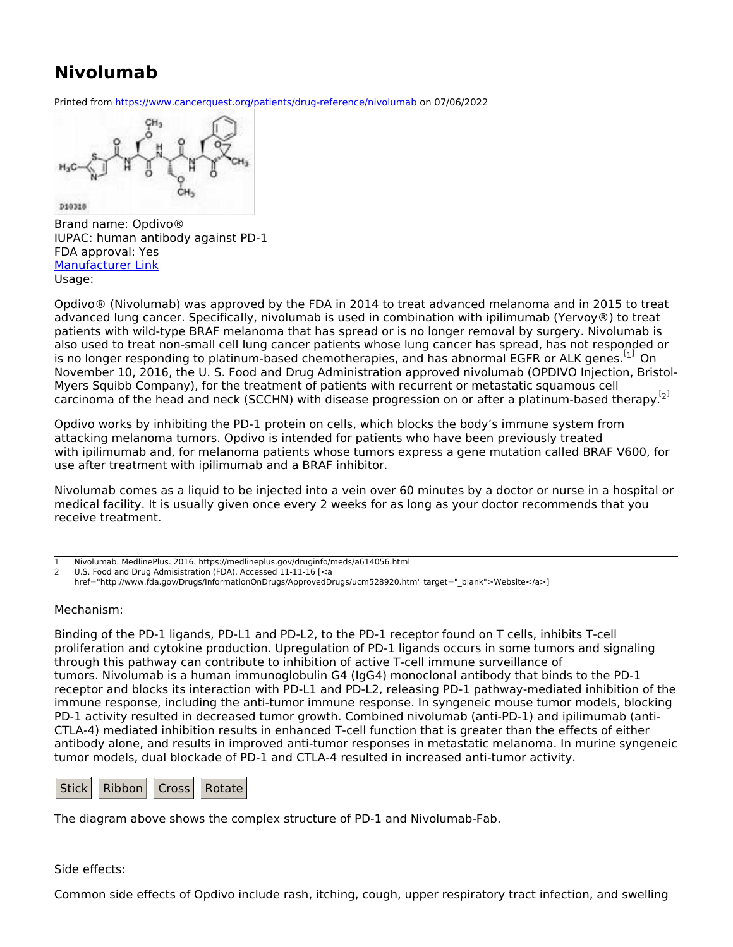## **Nivolumab**

Printed from <https://www.cancerquest.org/patients/drug-reference/nivolumab> on 07/06/2022

D10318

Brand name: Opdivo® IUPAC: human antibody against PD-1 FDA approval: Yes [Manufacturer](https://www.opdivo.com) Link Usage:

<span id="page-0-2"></span>Opdivo® (Nivolumab) was approved by the FDA in 2014 to treat advanced melanoma and in 2015 to treat advanced lung cancer. Specifically, nivolumab is used in combination with ipilimumab (Yervoy®) to treat patients with wild-type BRAF melanoma that has spread or is no longer removal by surgery. Nivolumab is also used to treat non-small cell lung cancer patients whose lung cancer has spread, has not responded or is no longer responding to platinum-based chemotherapies, and has abnormal EGFR or ALK genes.  $\left[1\right]$  $\left[1\right]$  $\left[1\right]$  On November 10, 2016, the U. S. Food and Drug Administration approved nivolumab (OPDIVO Injection, Bristol-Myers Squibb Company), for the treatment of patients with recurrent or metastatic squamous cell carcinoma of the head and neck (SCCHN) with disease progression on or after a platinum-based therapy.<sup>[[2](#page-0-1)]</sup>

<span id="page-0-3"></span>Opdivo works by inhibiting the PD-1 protein on cells, which blocks the body's immune system from attacking melanoma tumors. Opdivo is intended for patients who have been previously treated with ipilimumab and, for melanoma patients whose tumors express a gene mutation called BRAF V600, for use after treatment with ipilimumab and a BRAF inhibitor.

Nivolumab comes as a liquid to be injected into a vein over 60 minutes by a doctor or nurse in a hospital or medical facility. It is usually given once every 2 weeks for as long as your doctor recommends that you receive treatment.

## Mechanism:

Binding of the PD-1 ligands, PD-L1 and PD-L2, to the PD-1 receptor found on T cells, inhibits T-cell proliferation and cytokine production. Upregulation of PD-1 ligands occurs in some tumors and signaling through this pathway can contribute to inhibition of active T-cell immune surveillance of tumors. Nivolumab is a human immunoglobulin G4 (IgG4) monoclonal antibody that binds to the PD-1 receptor and blocks its interaction with PD-L1 and PD-L2, releasing PD-1 pathway-mediated inhibition of the immune response, including the anti-tumor immune response. In syngeneic mouse tumor models, blocking PD-1 activity resulted in decreased tumor growth. Combined nivolumab (anti-PD-1) and ipilimumab (anti-CTLA-4) mediated inhibition results in enhanced T-cell function that is greater than the effects of either antibody alone, and results in improved anti-tumor responses in metastatic melanoma. In murine syngeneic tumor models, dual blockade of PD-1 and CTLA-4 resulted in increased anti-tumor activity.

| Stick Ribbon Cross Rotate |  |  |
|---------------------------|--|--|
|---------------------------|--|--|

The diagram above shows the complex structure of PD-1 and Nivolumab-Fab.

## Side effects:

Common side effects of Opdivo include rash, itching, cough, upper respiratory tract infection, and swelling

<span id="page-0-0"></span>Nivolumab. MedlinePlus. 2016. https://medlineplus.gov/druginfo/meds/a614056.html [1](#page-0-2)

<span id="page-0-1"></span>U.S. Food and Drug Admisistration (FDA). Accessed 11-11-16 [<a  $\overline{2}$  $\overline{2}$  $\overline{2}$ 

href="http://www.fda.gov/Drugs/InformationOnDrugs/ApprovedDrugs/ucm528920.htm" target=" blank">Website</a>]